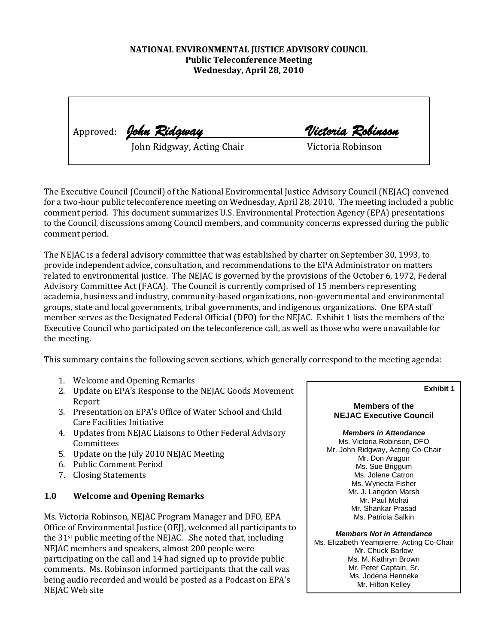### **NATIONAL ENVIRONMENTAL JUSTICE ADVISORY COUNCIL Public Teleconference Meeting Wednesday, April 28, 2010**

|  | Approved: John Ridgway     | Victoria Robinson |
|--|----------------------------|-------------------|
|  | John Ridgway, Acting Chair | Victoria Robinson |

The Executive Council (Council) of the National Environmental Justice Advisory Council (NEJAC) convened for a two-hour public teleconference meeting on Wednesday, April 28, 2010. The meeting included a public comment period. This document summarizes U.S. Environmental Protection Agency (EPA) presentations to the Council, discussions among Council members, and community concerns expressed during the public comment period.

The NEJAC is a federal advisory committee that was established by charter on September 30, 1993, to provide independent advice, consultation, and recommendations to the EPA Administrator on matters related to environmental justice. The NEJAC is governed by the provisions of the October 6, 1972, Federal Advisory Committee Act (FACA). The Council is currently comprised of 15 members representing academia, business and industry, community-based organizations, non-governmental and environmental groups, state and local governments, tribal governments, and indigenous organizations. One EPA staff member serves as the Designated Federal Official (DFO) for the NEJAC. Exhibit 1 lists the members of the Executive Council who participated on the teleconference call, as well as those who were unavailable for the meeting.

This summary contains the following seven sections, which generally correspond to the meeting agenda:

- 1. Welcome and Opening Remarks
- 2. Update on EPA's Response to the NEJAC Goods Movement Report
- 3. Presentation on EPA's Office of Water School and Child Care Facilities Initiative
- 4. Updates from NEJAC Liaisons to Other Federal Advisory Committees
- 5. Update on the July 2010 NEJAC Meeting
- 6. Public Comment Period
- 7. Closing Statements

## **1.0 Welcome and Opening Remarks**

Ms. Victoria Robinson, NEJAC Program Manager and DFO, EPA Office of Environmental Justice (OEJ), welcomed all participants to the 31st public meeting of the NEJAC. .She noted that, including NEJAC members and speakers, almost 200 people were participating on the call and 14 had signed up to provide public comments. Ms. Robinson informed participants that the call was being audio recorded and would be posted as a Podcast on EPA's NEJAC Web site

**Exhibit 1**

#### **Members of the NEJAC Executive Council**

*Members in Attendance* Ms. Victoria Robinson, DFO Mr. John Ridgway, Acting Co-Chair Mr. Don Aragon Ms. Sue Briggum Ms. Jolene Catron Ms. Wynecta Fisher Mr. J. Langdon Marsh Mr. Paul Mohai Mr. Shankar Prasad Ms. Patricia Salkin

*Members Not in Attendance* Ms. Elizabeth Yeampierre, Acting Co-Chair Mr. Chuck Barlow Ms. M. Kathryn Brown Mr. Peter Captain, Sr. Ms. Jodena Henneke Mr. Hilton Kelley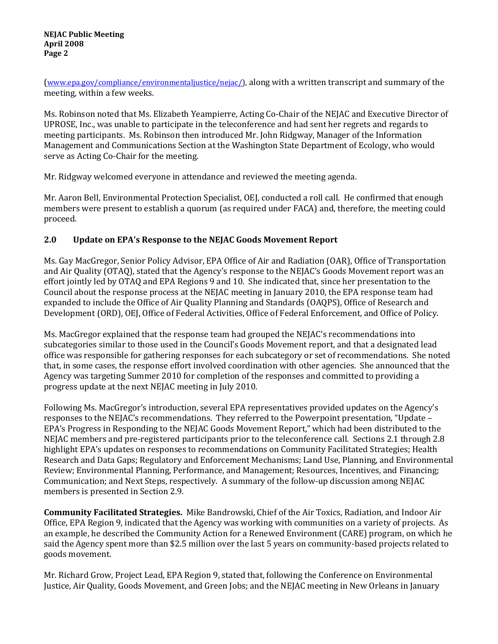[\(www.epa.gov/compliance/environmentaljustice/nejac/\)](http://www.epa.gov/compliance/environmentaljustice/nejac/), along with a written transcript and summary of the meeting, within a few weeks.

Ms. Robinson noted that Ms. Elizabeth Yeampierre, Acting Co-Chair of the NEJAC and Executive Director of UPROSE, Inc., was unable to participate in the teleconference and had sent her regrets and regards to meeting participants. Ms. Robinson then introduced Mr. John Ridgway, Manager of the Information Management and Communications Section at the Washington State Department of Ecology, who would serve as Acting Co-Chair for the meeting.

Mr. Ridgway welcomed everyone in attendance and reviewed the meeting agenda.

Mr. Aaron Bell, Environmental Protection Specialist, OEJ, conducted a roll call. He confirmed that enough members were present to establish a quorum (as required under FACA) and, therefore, the meeting could proceed.

## **2.0 Update on EPA's Response to the NEJAC Goods Movement Report**

Ms. Gay MacGregor, Senior Policy Advisor, EPA Office of Air and Radiation (OAR), Office of Transportation and Air Quality (OTAQ), stated that the Agency's response to the NEJAC's Goods Movement report was an effort jointly led by OTAQ and EPA Regions 9 and 10. She indicated that, since her presentation to the Council about the response process at the NEJAC meeting in January 2010, the EPA response team had expanded to include the Office of Air Quality Planning and Standards (OAQPS), Office of Research and Development (ORD), OEJ, Office of Federal Activities, Office of Federal Enforcement, and Office of Policy.

Ms. MacGregor explained that the response team had grouped the NEJAC's recommendations into subcategories similar to those used in the Council's Goods Movement report, and that a designated lead office was responsible for gathering responses for each subcategory or set of recommendations. She noted that, in some cases, the response effort involved coordination with other agencies. She announced that the Agency was targeting Summer 2010 for completion of the responses and committed to providing a progress update at the next NEJAC meeting in July 2010.

Following Ms. MacGregor's introduction, several EPA representatives provided updates on the Agency's responses to the NEJAC's recommendations. They referred to the Powerpoint presentation, "Update – EPA's Progress in Responding to the NEJAC Goods Movement Report," which had been distributed to the NEJAC members and pre-registered participants prior to the teleconference call. Sections 2.1 through 2.8 highlight EPA's updates on responses to recommendations on Community Facilitated Strategies; Health Research and Data Gaps; Regulatory and Enforcement Mechanisms; Land Use, Planning, and Environmental Review; Environmental Planning, Performance, and Management; Resources, Incentives, and Financing; Communication; and Next Steps, respectively. A summary of the follow-up discussion among NEJAC members is presented in Section 2.9.

**Community Facilitated Strategies.** Mike Bandrowski, Chief of the Air Toxics, Radiation, and Indoor Air Office, EPA Region 9, indicated that the Agency was working with communities on a variety of projects. As an example, he described the Community Action for a Renewed Environment (CARE) program, on which he said the Agency spent more than \$2.5 million over the last 5 years on community-based projects related to goods movement.

Mr. Richard Grow, Project Lead, EPA Region 9, stated that, following the Conference on Environmental Justice, Air Quality, Goods Movement, and Green Jobs; and the NEJAC meeting in New Orleans in January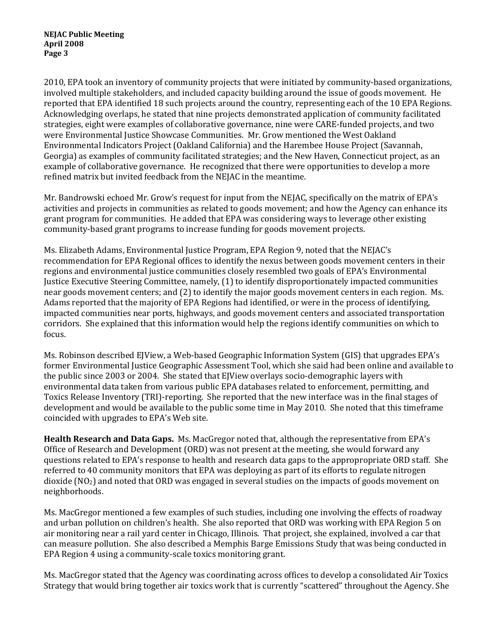2010, EPA took an inventory of community projects that were initiated by community-based organizations, involved multiple stakeholders, and included capacity building around the issue of goods movement. He reported that EPA identified 18 such projects around the country, representing each of the 10 EPA Regions. Acknowledging overlaps, he stated that nine projects demonstrated application of community facilitated strategies, eight were examples of collaborative governance, nine were CARE-funded projects, and two were Environmental Justice Showcase Communities. Mr. Grow mentioned the West Oakland Environmental Indicators Project (Oakland California) and the Harembee House Project (Savannah, Georgia) as examples of community facilitated strategies; and the New Haven, Connecticut project, as an example of collaborative governance. He recognized that there were opportunities to develop a more refined matrix but invited feedback from the NEJAC in the meantime.

Mr. Bandrowski echoed Mr. Grow's request for input from the NEJAC, specifically on the matrix of EPA's activities and projects in communities as related to goods movement; and how the Agency can enhance its grant program for communities. He added that EPA was considering ways to leverage other existing community-based grant programs to increase funding for goods movement projects.

Ms. Elizabeth Adams, Environmental Justice Program, EPA Region 9, noted that the NEJAC's recommendation for EPA Regional offices to identify the nexus between goods movement centers in their regions and environmental justice communities closely resembled two goals of EPA's Environmental Justice Executive Steering Committee, namely, (1) to identify disproportionately impacted communities near goods movement centers; and (2) to identify the major goods movement centers in each region. Ms. Adams reported that the majority of EPA Regions had identified, or were in the process of identifying, impacted communities near ports, highways, and goods movement centers and associated transportation corridors. She explained that this information would help the regions identify communities on which to focus.

Ms. Robinson described EJView, a Web-based Geographic Information System (GIS) that upgrades EPA's former Environmental Justice Geographic Assessment Tool, which she said had been online and available to the public since 2003 or 2004. She stated that EJView overlays socio-demographic layers with environmental data taken from various public EPA databases related to enforcement, permitting, and Toxics Release Inventory (TRI)-reporting. She reported that the new interface was in the final stages of development and would be available to the public some time in May 2010. She noted that this timeframe coincided with upgrades to EPA's Web site.

**Health Research and Data Gaps.** Ms. MacGregor noted that, although the representative from EPA's Office of Research and Development (ORD) was not present at the meeting, she would forward any questions related to EPA's response to health and research data gaps to the appropropriate ORD staff. She referred to 40 community monitors that EPA was deploying as part of its efforts to regulate nitrogen dioxide ( $NQ<sub>2</sub>$ ) and noted that ORD was engaged in several studies on the impacts of goods movement on neighborhoods.

Ms. MacGregor mentioned a few examples of such studies, including one involving the effects of roadway and urban pollution on children's health. She also reported that ORD was working with EPA Region 5 on air monitoring near a rail yard center in Chicago, Illinois. That project, she explained, involved a car that can measure pollution. She also described a Memphis Barge Emissions Study that was being conducted in EPA Region 4 using a community-scale toxics monitoring grant.

Ms. MacGregor stated that the Agency was coordinating across offices to develop a consolidated Air Toxics Strategy that would bring together air toxics work that is currently "scattered" throughout the Agency. She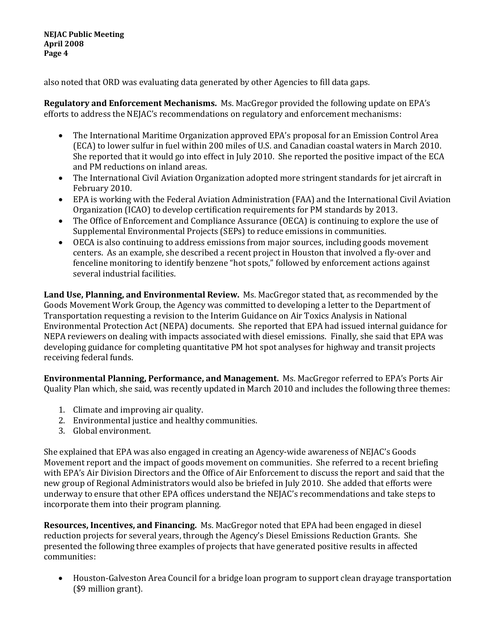**NEJAC Public Meeting April 2008 Page 4**

also noted that ORD was evaluating data generated by other Agencies to fill data gaps.

**Regulatory and Enforcement Mechanisms.** Ms. MacGregor provided the following update on EPA's efforts to address the NEJAC's recommendations on regulatory and enforcement mechanisms:

- The International Maritime Organization approved EPA's proposal for an Emission Control Area (ECA) to lower sulfur in fuel within 200 miles of U.S. and Canadian coastal waters in March 2010. She reported that it would go into effect in July 2010. She reported the positive impact of the ECA and PM reductions on inland areas.
- The International Civil Aviation Organization adopted more stringent standards for jet aircraft in February 2010.
- EPA is working with the Federal Aviation Administration (FAA) and the International Civil Aviation Organization (ICAO) to develop certification requirements for PM standards by 2013.
- The Office of Enforcement and Compliance Assurance (OECA) is continuing to explore the use of Supplemental Environmental Projects (SEPs) to reduce emissions in communities.
- OECA is also continuing to address emissions from major sources, including goods movement centers. As an example, she described a recent project in Houston that involved a fly-over and fenceline monitoring to identify benzene "hot spots," followed by enforcement actions against several industrial facilities.

**Land Use, Planning, and Environmental Review.** Ms. MacGregor stated that, as recommended by the Goods Movement Work Group, the Agency was committed to developing a letter to the Department of Transportation requesting a revision to the Interim Guidance on Air Toxics Analysis in National Environmental Protection Act (NEPA) documents. She reported that EPA had issued internal guidance for NEPA reviewers on dealing with impacts associated with diesel emissions. Finally, she said that EPA was developing guidance for completing quantitative PM hot spot analyses for highway and transit projects receiving federal funds.

**Environmental Planning, Performance, and Management.** Ms. MacGregor referred to EPA's Ports Air Quality Plan which, she said, was recently updated in March 2010 and includes the following three themes:

- 1. Climate and improving air quality.
- 2. Environmental justice and healthy communities.
- 3. Global environment.

She explained that EPA was also engaged in creating an Agency-wide awareness of NEJAC's Goods Movement report and the impact of goods movement on communities. She referred to a recent briefing with EPA's Air Division Directors and the Office of Air Enforcement to discuss the report and said that the new group of Regional Administrators would also be briefed in July 2010. She added that efforts were underway to ensure that other EPA offices understand the NEJAC's recommendations and take steps to incorporate them into their program planning.

**Resources, Incentives, and Financing.** Ms. MacGregor noted that EPA had been engaged in diesel reduction projects for several years, through the Agency's Diesel Emissions Reduction Grants. She presented the following three examples of projects that have generated positive results in affected communities:

• Houston-Galveston Area Council for a bridge loan program to support clean drayage transportation (\$9 million grant).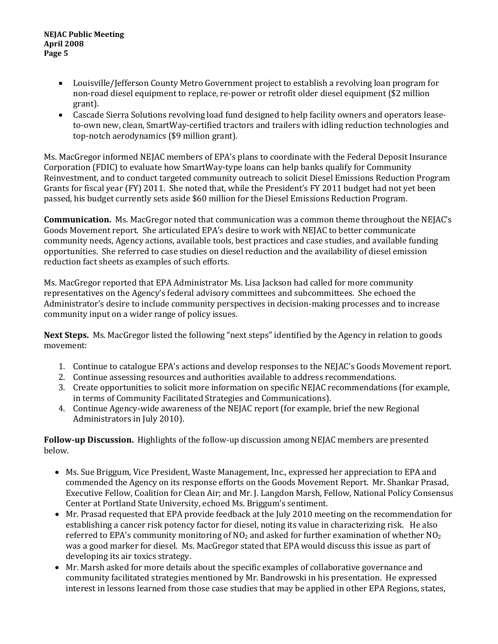#### **NEJAC Public Meeting April 2008 Page 5**

- Louisville/Jefferson County Metro Government project to establish a revolving loan program for non-road diesel equipment to replace, re-power or retrofit older diesel equipment (\$2 million grant).
- Cascade Sierra Solutions revolving load fund designed to help facility owners and operators leaseto-own new, clean, SmartWay-certified tractors and trailers with idling reduction technologies and top-notch aerodynamics (\$9 million grant).

Ms. MacGregor informed NEJAC members of EPA's plans to coordinate with the Federal Deposit Insurance Corporation (FDIC) to evaluate how SmartWay-type loans can help banks qualify for Community Reinvestment, and to conduct targeted community outreach to solicit Diesel Emissions Reduction Program Grants for fiscal year (FY) 2011. She noted that, while the President's FY 2011 budget had not yet been passed, his budget currently sets aside \$60 million for the Diesel Emissions Reduction Program.

**Communication.** Ms. MacGregor noted that communication was a common theme throughout the NEJAC's Goods Movement report. She articulated EPA's desire to work with NEJAC to better communicate community needs, Agency actions, available tools, best practices and case studies, and available funding opportunities. She referred to case studies on diesel reduction and the availability of diesel emission reduction fact sheets as examples of such efforts.

Ms. MacGregor reported that EPA Administrator Ms. Lisa Jackson had called for more community representatives on the Agency's federal advisory committees and subcommittees. She echoed the Administrator's desire to include community perspectives in decision-making processes and to increase community input on a wider range of policy issues.

**Next Steps.** Ms. MacGregor listed the following "next steps" identified by the Agency in relation to goods movement:

- 1. Continue to catalogue EPA's actions and develop responses to the NEJAC's Goods Movement report.
- 2. Continue assessing resources and authorities available to address recommendations.
- 3. Create opportunities to solicit more information on specific NEJAC recommendations (for example, in terms of Community Facilitated Strategies and Communications).
- 4. Continue Agency-wide awareness of the NEJAC report (for example, brief the new Regional Administrators in July 2010).

**Follow-up Discussion.** Highlights of the follow-up discussion among NEJAC members are presented below.

- Ms. Sue Briggum, Vice President, Waste Management, Inc., expressed her appreciation to EPA and commended the Agency on its response efforts on the Goods Movement Report. Mr. Shankar Prasad, Executive Fellow, Coalition for Clean Air; and Mr. J. Langdon Marsh, Fellow, National Policy Consensus Center at Portland State University, echoed Ms. Briggum's sentiment.
- Mr. Prasad requested that EPA provide feedback at the July 2010 meeting on the recommendation for establishing a cancer risk potency factor for diesel, noting its value in characterizing risk. He also referred to EPA's community monitoring of  $NO<sub>2</sub>$  and asked for further examination of whether  $NO<sub>2</sub>$ was a good marker for diesel. Ms. MacGregor stated that EPA would discuss this issue as part of developing its air toxics strategy.
- Mr. Marsh asked for more details about the specific examples of collaborative governance and community facilitated strategies mentioned by Mr. Bandrowski in his presentation. He expressed interest in lessons learned from those case studies that may be applied in other EPA Regions, states,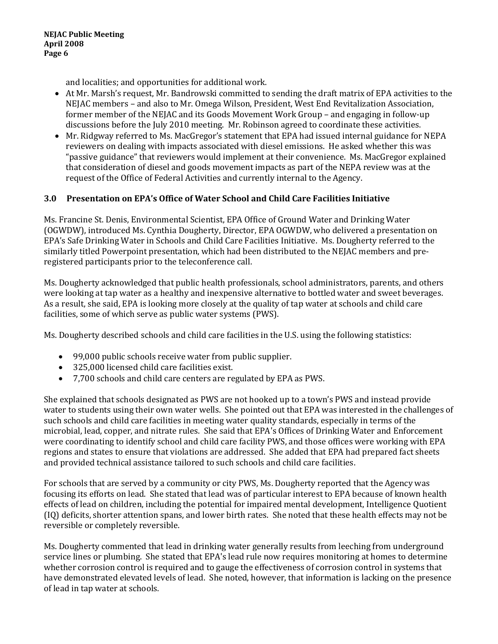and localities; and opportunities for additional work.

- At Mr. Marsh's request, Mr. Bandrowski committed to sending the draft matrix of EPA activities to the NEJAC members – and also to Mr. Omega Wilson, President, West End Revitalization Association, former member of the NEJAC and its Goods Movement Work Group – and engaging in follow-up discussions before the July 2010 meeting. Mr. Robinson agreed to coordinate these activities.
- Mr. Ridgway referred to Ms. MacGregor's statement that EPA had issued internal guidance for NEPA reviewers on dealing with impacts associated with diesel emissions. He asked whether this was "passive guidance" that reviewers would implement at their convenience. Ms. MacGregor explained that consideration of diesel and goods movement impacts as part of the NEPA review was at the request of the Office of Federal Activities and currently internal to the Agency.

## **3.0 Presentation on EPA's Office of Water School and Child Care Facilities Initiative**

Ms. Francine St. Denis, Environmental Scientist, EPA Office of Ground Water and Drinking Water (OGWDW), introduced Ms. Cynthia Dougherty, Director, EPA OGWDW, who delivered a presentation on EPA's Safe Drinking Water in Schools and Child Care Facilities Initiative. Ms. Dougherty referred to the similarly titled Powerpoint presentation, which had been distributed to the NEJAC members and preregistered participants prior to the teleconference call.

Ms. Dougherty acknowledged that public health professionals, school administrators, parents, and others were looking at tap water as a healthy and inexpensive alternative to bottled water and sweet beverages. As a result, she said, EPA is looking more closely at the quality of tap water at schools and child care facilities, some of which serve as public water systems (PWS).

Ms. Dougherty described schools and child care facilities in the U.S. using the following statistics:

- 99,000 public schools receive water from public supplier.
- 325,000 licensed child care facilities exist.
- 7,700 schools and child care centers are regulated by EPA as PWS.

She explained that schools designated as PWS are not hooked up to a town's PWS and instead provide water to students using their own water wells. She pointed out that EPA was interested in the challenges of such schools and child care facilities in meeting water quality standards, especially in terms of the microbial, lead, copper, and nitrate rules. She said that EPA's Offices of Drinking Water and Enforcement were coordinating to identify school and child care facility PWS, and those offices were working with EPA regions and states to ensure that violations are addressed. She added that EPA had prepared fact sheets and provided technical assistance tailored to such schools and child care facilities.

For schools that are served by a community or city PWS, Ms. Dougherty reported that the Agency was focusing its efforts on lead. She stated that lead was of particular interest to EPA because of known health effects of lead on children, including the potential for impaired mental development, Intelligence Quotient (IQ) deficits, shorter attention spans, and lower birth rates. She noted that these health effects may not be reversible or completely reversible.

Ms. Dougherty commented that lead in drinking water generally results from leeching from underground service lines or plumbing. She stated that EPA's lead rule now requires monitoring at homes to determine whether corrosion control is required and to gauge the effectiveness of corrosion control in systems that have demonstrated elevated levels of lead. She noted, however, that information is lacking on the presence of lead in tap water at schools.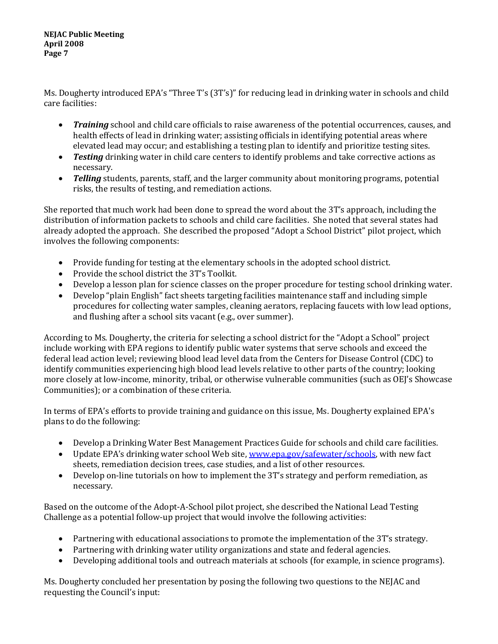**NEJAC Public Meeting April 2008 Page 7**

Ms. Dougherty introduced EPA's "Three T's (3T's)" for reducing lead in drinking water in schools and child care facilities:

- *Training* school and child care officials to raise awareness of the potential occurrences, causes, and health effects of lead in drinking water; assisting officials in identifying potential areas where elevated lead may occur; and establishing a testing plan to identify and prioritize testing sites.
- *Testing* drinking water in child care centers to identify problems and take corrective actions as necessary.
- *Telling* students, parents, staff, and the larger community about monitoring programs, potential risks, the results of testing, and remediation actions.

She reported that much work had been done to spread the word about the 3T's approach, including the distribution of information packets to schools and child care facilities. She noted that several states had already adopted the approach. She described the proposed "Adopt a School District" pilot project, which involves the following components:

- Provide funding for testing at the elementary schools in the adopted school district.
- Provide the school district the 3T's Toolkit.
- Develop a lesson plan for science classes on the proper procedure for testing school drinking water.
- Develop "plain English" fact sheets targeting facilities maintenance staff and including simple procedures for collecting water samples, cleaning aerators, replacing faucets with low lead options, and flushing after a school sits vacant (e.g., over summer).

According to Ms. Dougherty, the criteria for selecting a school district for the "Adopt a School" project include working with EPA regions to identify public water systems that serve schools and exceed the federal lead action level; reviewing blood lead level data from the Centers for Disease Control (CDC) to identify communities experiencing high blood lead levels relative to other parts of the country; looking more closely at low-income, minority, tribal, or otherwise vulnerable communities (such as OEJ's Showcase Communities); or a combination of these criteria.

In terms of EPA's efforts to provide training and guidance on this issue, Ms. Dougherty explained EPA's plans to do the following:

- Develop a Drinking Water Best Management Practices Guide for schools and child care facilities.
- Update EPA's drinking water school Web site, [www.epa.gov/safewater/schools,](http://www.epa.gov/safewater/schools) with new fact sheets, remediation decision trees, case studies, and a list of other resources.
- Develop on-line tutorials on how to implement the 3T's strategy and perform remediation, as necessary.

Based on the outcome of the Adopt-A-School pilot project, she described the National Lead Testing Challenge as a potential follow-up project that would involve the following activities:

- Partnering with educational associations to promote the implementation of the 3T's strategy.
- Partnering with drinking water utility organizations and state and federal agencies.
- Developing additional tools and outreach materials at schools (for example, in science programs).

Ms. Dougherty concluded her presentation by posing the following two questions to the NEJAC and requesting the Council's input: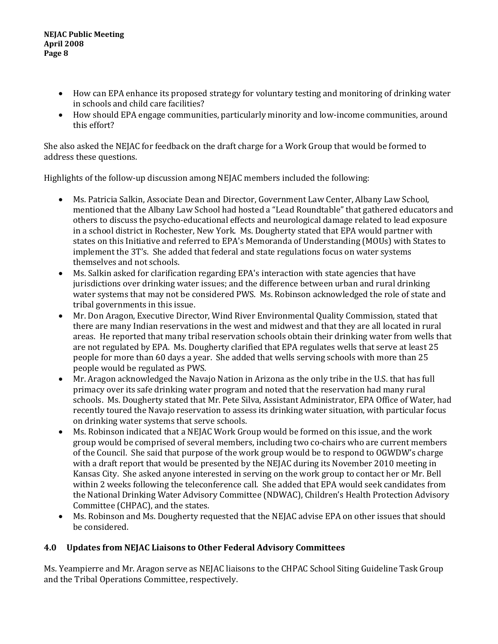- How can EPA enhance its proposed strategy for voluntary testing and monitoring of drinking water in schools and child care facilities?
- How should EPA engage communities, particularly minority and low-income communities, around this effort?

She also asked the NEJAC for feedback on the draft charge for a Work Group that would be formed to address these questions.

Highlights of the follow-up discussion among NEJAC members included the following:

- Ms. Patricia Salkin, Associate Dean and Director, Government Law Center, Albany Law School, mentioned that the Albany Law School had hosted a "Lead Roundtable" that gathered educators and others to discuss the psycho-educational effects and neurological damage related to lead exposure in a school district in Rochester, New York. Ms. Dougherty stated that EPA would partner with states on this Initiative and referred to EPA's Memoranda of Understanding (MOUs) with States to implement the 3T's. She added that federal and state regulations focus on water systems themselves and not schools.
- Ms. Salkin asked for clarification regarding EPA's interaction with state agencies that have jurisdictions over drinking water issues; and the difference between urban and rural drinking water systems that may not be considered PWS. Ms. Robinson acknowledged the role of state and tribal governments in this issue.
- Mr. Don Aragon, Executive Director, Wind River Environmental Quality Commission, stated that there are many Indian reservations in the west and midwest and that they are all located in rural areas. He reported that many tribal reservation schools obtain their drinking water from wells that are not regulated by EPA. Ms. Dougherty clarified that EPA regulates wells that serve at least 25 people for more than 60 days a year. She added that wells serving schools with more than 25 people would be regulated as PWS.
- Mr. Aragon acknowledged the Navajo Nation in Arizona as the only tribe in the U.S. that has full primacy over its safe drinking water program and noted that the reservation had many rural schools. Ms. Dougherty stated that Mr. Pete Silva, Assistant Administrator, EPA Office of Water, had recently toured the Navajo reservation to assess its drinking water situation, with particular focus on drinking water systems that serve schools.
- Ms. Robinson indicated that a NEJAC Work Group would be formed on this issue, and the work group would be comprised of several members, including two co-chairs who are current members of the Council. She said that purpose of the work group would be to respond to OGWDW's charge with a draft report that would be presented by the NEJAC during its November 2010 meeting in Kansas City. She asked anyone interested in serving on the work group to contact her or Mr. Bell within 2 weeks following the teleconference call. She added that EPA would seek candidates from the National Drinking Water Advisory Committee (NDWAC), Children's Health Protection Advisory Committee (CHPAC), and the states.
- Ms. Robinson and Ms. Dougherty requested that the NEJAC advise EPA on other issues that should be considered.

# **4.0 Updates from NEJAC Liaisons to Other Federal Advisory Committees**

Ms. Yeampierre and Mr. Aragon serve as NEJAC liaisons to the CHPAC School Siting Guideline Task Group and the Tribal Operations Committee, respectively.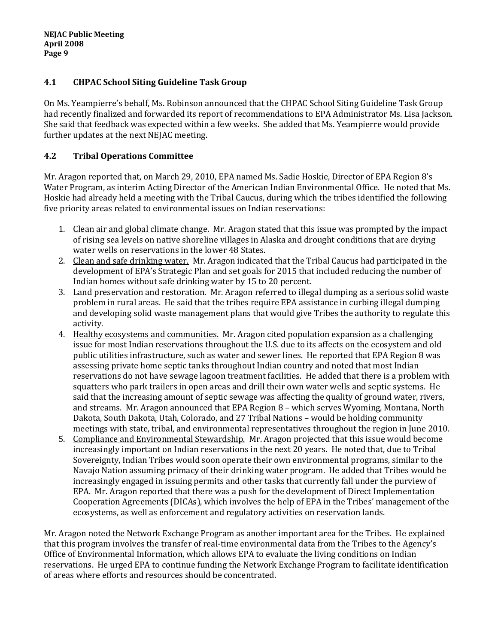## **4.1 CHPAC School Siting Guideline Task Group**

On Ms. Yeampierre's behalf, Ms. Robinson announced that the CHPAC School Siting Guideline Task Group had recently finalized and forwarded its report of recommendations to EPA Administrator Ms. Lisa Jackson. She said that feedback was expected within a few weeks. She added that Ms. Yeampierre would provide further updates at the next NEJAC meeting.

## **4.2 Tribal Operations Committee**

Mr. Aragon reported that, on March 29, 2010, EPA named Ms. Sadie Hoskie, Director of EPA Region 8's Water Program, as interim Acting Director of the American Indian Environmental Office. He noted that Ms. Hoskie had already held a meeting with the Tribal Caucus, during which the tribes identified the following five priority areas related to environmental issues on Indian reservations:

- 1. Clean air and global climate change. Mr. Aragon stated that this issue was prompted by the impact of rising sea levels on native shoreline villages in Alaska and drought conditions that are drying water wells on reservations in the lower 48 States.
- 2. Clean and safe drinking water. Mr. Aragon indicated that the Tribal Caucus had participated in the development of EPA's Strategic Plan and set goals for 2015 that included reducing the number of Indian homes without safe drinking water by 15 to 20 percent.
- 3. Land preservation and restoration. Mr. Aragon referred to illegal dumping as a serious solid waste problem in rural areas. He said that the tribes require EPA assistance in curbing illegal dumping and developing solid waste management plans that would give Tribes the authority to regulate this activity.
- 4. Healthy ecosystems and communities. Mr. Aragon cited population expansion as a challenging issue for most Indian reservations throughout the U.S. due to its affects on the ecosystem and old public utilities infrastructure, such as water and sewer lines. He reported that EPA Region 8 was assessing private home septic tanks throughout Indian country and noted that most Indian reservations do not have sewage lagoon treatment facilities. He added that there is a problem with squatters who park trailers in open areas and drill their own water wells and septic systems. He said that the increasing amount of septic sewage was affecting the quality of ground water, rivers, and streams. Mr. Aragon announced that EPA Region 8 – which serves Wyoming, Montana, North Dakota, South Dakota, Utah, Colorado, and 27 Tribal Nations – would be holding community meetings with state, tribal, and environmental representatives throughout the region in June 2010.
- 5. Compliance and Environmental Stewardship. Mr. Aragon projected that this issue would become increasingly important on Indian reservations in the next 20 years. He noted that, due to Tribal Sovereignty, Indian Tribes would soon operate their own environmental programs, similar to the Navajo Nation assuming primacy of their drinking water program. He added that Tribes would be increasingly engaged in issuing permits and other tasks that currently fall under the purview of EPA. Mr. Aragon reported that there was a push for the development of Direct Implementation Cooperation Agreements (DICAs), which involves the help of EPA in the Tribes' management of the ecosystems, as well as enforcement and regulatory activities on reservation lands.

Mr. Aragon noted the Network Exchange Program as another important area for the Tribes. He explained that this program involves the transfer of real-time environmental data from the Tribes to the Agency's Office of Environmental Information, which allows EPA to evaluate the living conditions on Indian reservations. He urged EPA to continue funding the Network Exchange Program to facilitate identification of areas where efforts and resources should be concentrated.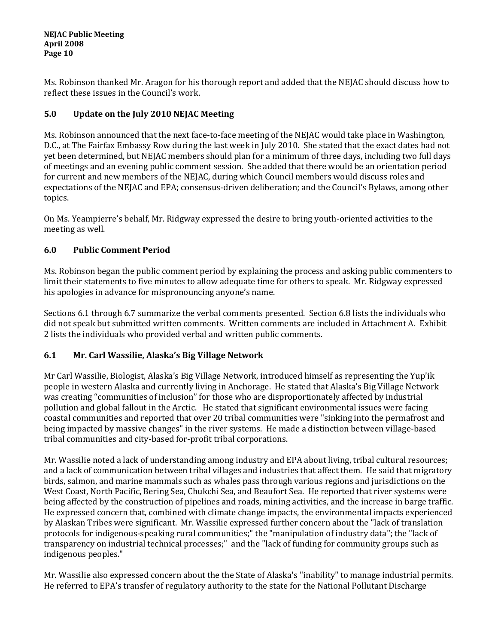Ms. Robinson thanked Mr. Aragon for his thorough report and added that the NEJAC should discuss how to reflect these issues in the Council's work.

# **5.0 Update on the July 2010 NEJAC Meeting**

Ms. Robinson announced that the next face-to-face meeting of the NEJAC would take place in Washington, D.C., at The Fairfax Embassy Row during the last week in July 2010. She stated that the exact dates had not yet been determined, but NEJAC members should plan for a minimum of three days, including two full days of meetings and an evening public comment session. She added that there would be an orientation period for current and new members of the NEJAC, during which Council members would discuss roles and expectations of the NEJAC and EPA; consensus-driven deliberation; and the Council's Bylaws, among other topics.

On Ms. Yeampierre's behalf, Mr. Ridgway expressed the desire to bring youth-oriented activities to the meeting as well.

# **6.0 Public Comment Period**

Ms. Robinson began the public comment period by explaining the process and asking public commenters to limit their statements to five minutes to allow adequate time for others to speak. Mr. Ridgway expressed his apologies in advance for mispronouncing anyone's name.

Sections 6.1 through 6.7 summarize the verbal comments presented. Section 6.8 lists the individuals who did not speak but submitted written comments. Written comments are included in Attachment A. Exhibit 2 lists the individuals who provided verbal and written public comments.

# **6.1 Mr. Carl Wassilie, Alaska's Big Village Network**

Mr Carl Wassilie, Biologist, Alaska's Big Village Network, introduced himself as representing the Yup'ik people in western Alaska and currently living in Anchorage. He stated that Alaska's Big Village Network was creating "communities of inclusion" for those who are disproportionately affected by industrial pollution and global fallout in the Arctic. He stated that significant environmental issues were facing coastal communities and reported that over 20 tribal communities were "sinking into the permafrost and being impacted by massive changes" in the river systems. He made a distinction between village-based tribal communities and city-based for-profit tribal corporations.

Mr. Wassilie noted a lack of understanding among industry and EPA about living, tribal cultural resources; and a lack of communication between tribal villages and industries that affect them. He said that migratory birds, salmon, and marine mammals such as whales pass through various regions and jurisdictions on the West Coast, North Pacific, Bering Sea, Chukchi Sea, and Beaufort Sea. He reported that river systems were being affected by the construction of pipelines and roads, mining activities, and the increase in barge traffic. He expressed concern that, combined with climate change impacts, the environmental impacts experienced by Alaskan Tribes were significant. Mr. Wassilie expressed further concern about the "lack of translation protocols for indigenous-speaking rural communities;" the "manipulation of industry data"; the "lack of transparency on industrial technical processes;" and the "lack of funding for community groups such as indigenous peoples."

Mr. Wassilie also expressed concern about the the State of Alaska's "inability" to manage industrial permits. He referred to EPA's transfer of regulatory authority to the state for the National Pollutant Discharge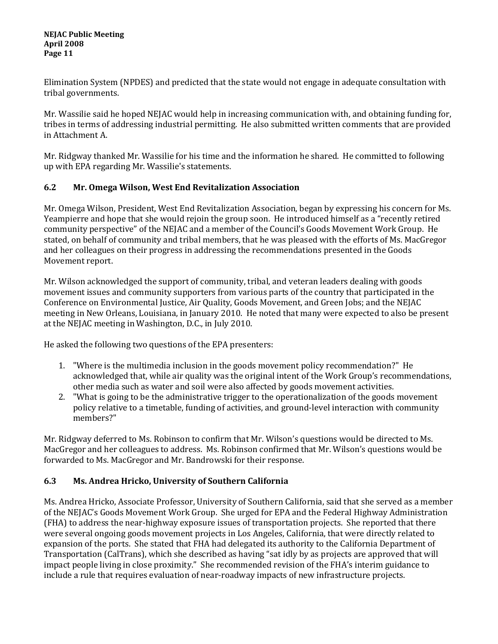Elimination System (NPDES) and predicted that the state would not engage in adequate consultation with tribal governments.

Mr. Wassilie said he hoped NEJAC would help in increasing communication with, and obtaining funding for, tribes in terms of addressing industrial permitting. He also submitted written comments that are provided in Attachment A.

Mr. Ridgway thanked Mr. Wassilie for his time and the information he shared. He committed to following up with EPA regarding Mr. Wassilie's statements.

# **6.2 Mr. Omega Wilson, West End Revitalization Association**

Mr. Omega Wilson, President, West End Revitalization Association, began by expressing his concern for Ms. Yeampierre and hope that she would rejoin the group soon. He introduced himself as a "recently retired community perspective" of the NEJAC and a member of the Council's Goods Movement Work Group. He stated, on behalf of community and tribal members, that he was pleased with the efforts of Ms. MacGregor and her colleagues on their progress in addressing the recommendations presented in the Goods Movement report.

Mr. Wilson acknowledged the support of community, tribal, and veteran leaders dealing with goods movement issues and community supporters from various parts of the country that participated in the Conference on Environmental Justice, Air Quality, Goods Movement, and Green Jobs; and the NEJAC meeting in New Orleans, Louisiana, in January 2010. He noted that many were expected to also be present at the NEJAC meeting in Washington, D.C., in July 2010.

He asked the following two questions of the EPA presenters:

- 1. "Where is the multimedia inclusion in the goods movement policy recommendation?" He acknowledged that, while air quality was the original intent of the Work Group's recommendations, other media such as water and soil were also affected by goods movement activities.
- 2. "What is going to be the administrative trigger to the operationalization of the goods movement policy relative to a timetable, funding of activities, and ground-level interaction with community members?"

Mr. Ridgway deferred to Ms. Robinson to confirm that Mr. Wilson's questions would be directed to Ms. MacGregor and her colleagues to address. Ms. Robinson confirmed that Mr. Wilson's questions would be forwarded to Ms. MacGregor and Mr. Bandrowski for their response.

# **6.3 Ms. Andrea Hricko, University of Southern California**

Ms. Andrea Hricko, Associate Professor, University of Southern California, said that she served as a member of the NEJAC's Goods Movement Work Group. She urged for EPA and the Federal Highway Administration (FHA) to address the near-highway exposure issues of transportation projects. She reported that there were several ongoing goods movement projects in Los Angeles, California, that were directly related to expansion of the ports. She stated that FHA had delegated its authority to the California Department of Transportation (CalTrans), which she described as having "sat idly by as projects are approved that will impact people living in close proximity." She recommended revision of the FHA's interim guidance to include a rule that requires evaluation of near-roadway impacts of new infrastructure projects.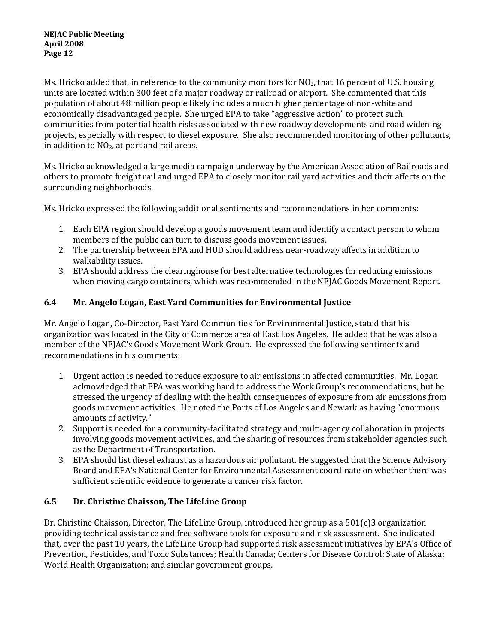Ms. Hricko added that, in reference to the community monitors for  $NO<sub>2</sub>$ , that 16 percent of U.S. housing units are located within 300 feet of a major roadway or railroad or airport. She commented that this population of about 48 million people likely includes a much higher percentage of non-white and economically disadvantaged people. She urged EPA to take "aggressive action" to protect such communities from potential health risks associated with new roadway developments and road widening projects, especially with respect to diesel exposure. She also recommended monitoring of other pollutants, in addition to  $NO<sub>2</sub>$ , at port and rail areas.

Ms. Hricko acknowledged a large media campaign underway by the American Association of Railroads and others to promote freight rail and urged EPA to closely monitor rail yard activities and their affects on the surrounding neighborhoods.

Ms. Hricko expressed the following additional sentiments and recommendations in her comments:

- 1. Each EPA region should develop a goods movement team and identify a contact person to whom members of the public can turn to discuss goods movement issues.
- 2. The partnership between EPA and HUD should address near-roadway affects in addition to walkability issues.
- 3. EPA should address the clearinghouse for best alternative technologies for reducing emissions when moving cargo containers, which was recommended in the NEJAC Goods Movement Report.

## **6.4 Mr. Angelo Logan, East Yard Communities for Environmental Justice**

Mr. Angelo Logan, Co-Director, East Yard Communities for Environmental Justice, stated that his organization was located in the City of Commerce area of East Los Angeles. He added that he was also a member of the NEJAC's Goods Movement Work Group. He expressed the following sentiments and recommendations in his comments:

- 1. Urgent action is needed to reduce exposure to air emissions in affected communities. Mr. Logan acknowledged that EPA was working hard to address the Work Group's recommendations, but he stressed the urgency of dealing with the health consequences of exposure from air emissions from goods movement activities. He noted the Ports of Los Angeles and Newark as having "enormous amounts of activity."
- 2. Support is needed for a community-facilitated strategy and multi-agency collaboration in projects involving goods movement activities, and the sharing of resources from stakeholder agencies such as the Department of Transportation.
- 3. EPA should list diesel exhaust as a hazardous air pollutant. He suggested that the Science Advisory Board and EPA's National Center for Environmental Assessment coordinate on whether there was sufficient scientific evidence to generate a cancer risk factor.

## **6.5 Dr. Christine Chaisson, The LifeLine Group**

Dr. Christine Chaisson, Director, The LifeLine Group, introduced her group as a 501(c)3 organization providing technical assistance and free software tools for exposure and risk assessment. She indicated that, over the past 10 years, the LifeLine Group had supported risk assessment initiatives by EPA's Office of Prevention, Pesticides, and Toxic Substances; Health Canada; Centers for Disease Control; State of Alaska; World Health Organization; and similar government groups.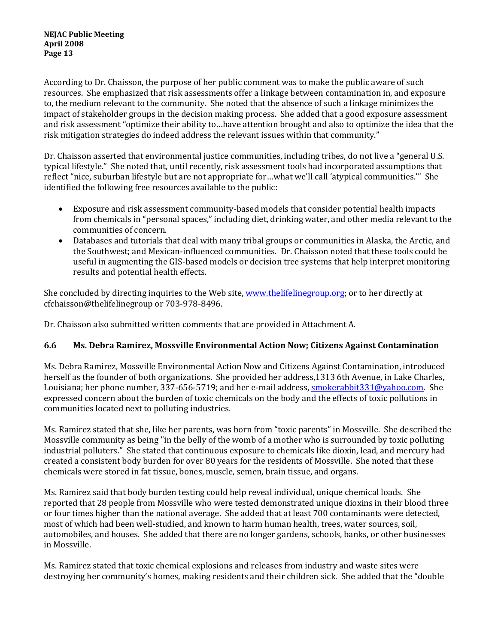According to Dr. Chaisson, the purpose of her public comment was to make the public aware of such resources. She emphasized that risk assessments offer a linkage between contamination in, and exposure to, the medium relevant to the community. She noted that the absence of such a linkage minimizes the impact of stakeholder groups in the decision making process. She added that a good exposure assessment and risk assessment "optimize their ability to…have attention brought and also to optimize the idea that the risk mitigation strategies do indeed address the relevant issues within that community."

Dr. Chaisson asserted that environmental justice communities, including tribes, do not live a "general U.S. typical lifestyle." She noted that, until recently, risk assessment tools had incorporated assumptions that reflect "nice, suburban lifestyle but are not appropriate for…what we'll call 'atypical communities.'" She identified the following free resources available to the public:

- Exposure and risk assessment community-based models that consider potential health impacts from chemicals in "personal spaces," including diet, drinking water, and other media relevant to the communities of concern.
- Databases and tutorials that deal with many tribal groups or communities in Alaska, the Arctic, and the Southwest; and Mexican-influenced communities. Dr. Chaisson noted that these tools could be useful in augmenting the GIS-based models or decision tree systems that help interpret monitoring results and potential health effects.

She concluded by directing inquiries to the Web site, [www.thelifelinegroup.org;](http://www.thelifelinegroup.org/) or to her directly at cfchaisson@thelifelinegroup or 703-978-8496.

Dr. Chaisson also submitted written comments that are provided in Attachment A.

# **6.6 Ms. Debra Ramirez, Mossville Environmental Action Now; Citizens Against Contamination**

Ms. Debra Ramirez, Mossville Environmental Action Now and Citizens Against Contamination, introduced herself as the founder of both organizations. She provided her address,1313 6th Avenue, in Lake Charles, Louisiana; her phone number, 337-656-5719; and her e-mail address, [smokerabbit331@yahoo.com.](mailto:smokerabbit331@yahoo.com) She expressed concern about the burden of toxic chemicals on the body and the effects of toxic pollutions in communities located next to polluting industries.

Ms. Ramirez stated that she, like her parents, was born from "toxic parents" in Mossville. She described the Mossville community as being "in the belly of the womb of a mother who is surrounded by toxic polluting industrial polluters." She stated that continuous exposure to chemicals like dioxin, lead, and mercury had created a consistent body burden for over 80 years for the residents of Mossville. She noted that these chemicals were stored in fat tissue, bones, muscle, semen, brain tissue, and organs.

Ms. Ramirez said that body burden testing could help reveal individual, unique chemical loads. She reported that 28 people from Mossville who were tested demonstrated unique dioxins in their blood three or four times higher than the national average. She added that at least 700 contaminants were detected, most of which had been well-studied, and known to harm human health, trees, water sources, soil, automobiles, and houses. She added that there are no longer gardens, schools, banks, or other businesses in Mossville.

Ms. Ramirez stated that toxic chemical explosions and releases from industry and waste sites were destroying her community's homes, making residents and their children sick. She added that the "double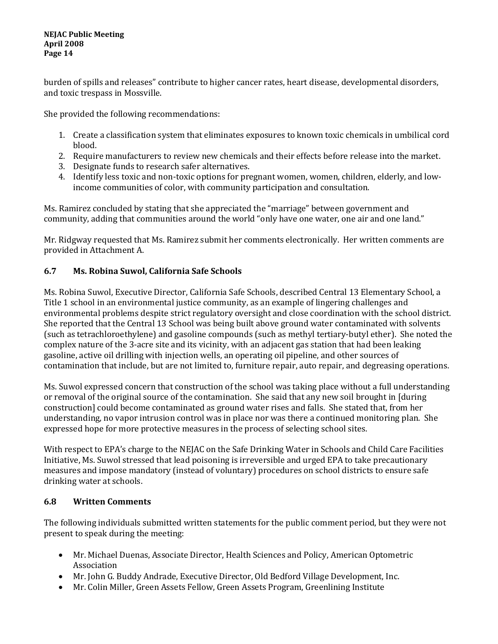burden of spills and releases" contribute to higher cancer rates, heart disease, developmental disorders, and toxic trespass in Mossville.

She provided the following recommendations:

- 1. Create a classification system that eliminates exposures to known toxic chemicals in umbilical cord blood.
- 2. Require manufacturers to review new chemicals and their effects before release into the market.
- 3. Designate funds to research safer alternatives.
- 4. Identify less toxic and non-toxic options for pregnant women, women, children, elderly, and lowincome communities of color, with community participation and consultation.

Ms. Ramirez concluded by stating that she appreciated the "marriage" between government and community, adding that communities around the world "only have one water, one air and one land."

Mr. Ridgway requested that Ms. Ramirez submit her comments electronically. Her written comments are provided in Attachment A.

## **6.7 Ms. Robina Suwol, California Safe Schools**

Ms. Robina Suwol, Executive Director, California Safe Schools, described Central 13 Elementary School, a Title 1 school in an environmental justice community, as an example of lingering challenges and environmental problems despite strict regulatory oversight and close coordination with the school district. She reported that the Central 13 School was being built above ground water contaminated with solvents (such as tetrachloroethylene) and gasoline compounds (such as methyl tertiary-butyl ether). She noted the complex nature of the 3-acre site and its vicinity, with an adjacent gas station that had been leaking gasoline, active oil drilling with injection wells, an operating oil pipeline, and other sources of contamination that include, but are not limited to, furniture repair, auto repair, and degreasing operations.

Ms. Suwol expressed concern that construction of the school was taking place without a full understanding or removal of the original source of the contamination. She said that any new soil brought in [during construction] could become contaminated as ground water rises and falls. She stated that, from her understanding, no vapor intrusion control was in place nor was there a continued monitoring plan. She expressed hope for more protective measures in the process of selecting school sites.

With respect to EPA's charge to the NEJAC on the Safe Drinking Water in Schools and Child Care Facilities Initiative, Ms. Suwol stressed that lead poisoning is irreversible and urged EPA to take precautionary measures and impose mandatory (instead of voluntary) procedures on school districts to ensure safe drinking water at schools.

## **6.8 Written Comments**

The following individuals submitted written statements for the public comment period, but they were not present to speak during the meeting:

- Mr. Michael Duenas, Associate Director, Health Sciences and Policy, American Optometric Association
- Mr. John G. Buddy Andrade, Executive Director, Old Bedford Village Development, Inc.
- Mr. Colin Miller, Green Assets Fellow, Green Assets Program, Greenlining Institute